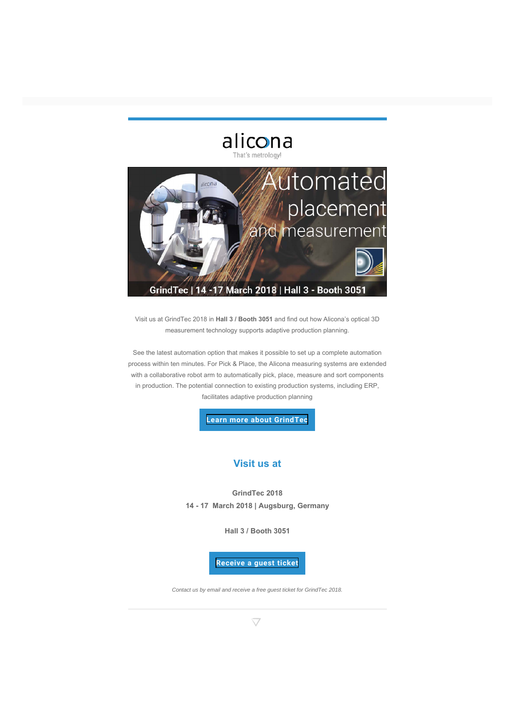

Visit us at GrindTec 2018 in **Hall 3 / Booth 3051** and find out how Alicona's optical 3D measurement technology supports adaptive production planning.

See the latest automation option that makes it possible to set up a complete automation process within ten minutes. For Pick & Place, the Alicona measuring systems are extended with a collaborative robot arm to automatically pick, place, measure and sort components in production. The potential connection to existing production systems, including ERP, facilitates adaptive production planning

**[Learn more about GrindTec](http://www.alicona.com/news-downloads/detail/grindtec-2018/)**

### **Visit us at**

**GrindTec 2018 14 - 17 March 2018 | Augsburg, Germany**

**Hall 3 / Booth 3051**

#### **[Receive a guest ticket](mailto:metrology@alicona.com)**

*Contact us by email and receive a free guest ticket for GrindTec 2018.*

 $\bigtriangledown$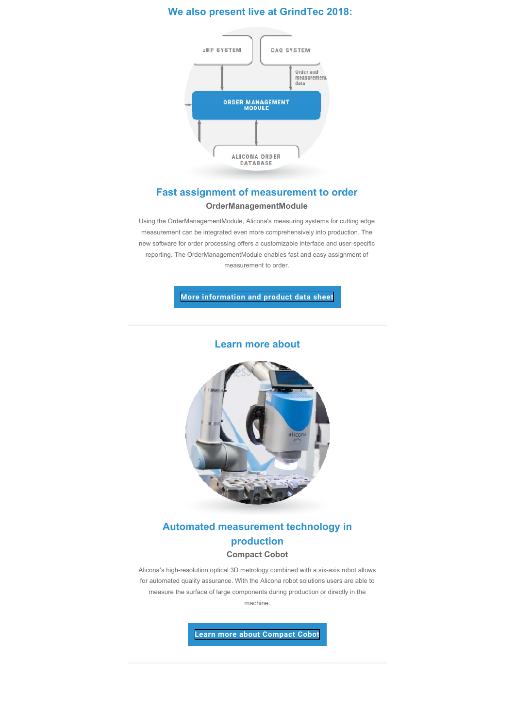# **Fast assignment of measurement to order OrderManagementModule**

Using the OrderManagementModule, Alicona's measuring systems for cutting edge measurement can be integrated even more comprehensively into production. The new software for order processing offers a customizable interface and user-specific reporting. The OrderManagementModule enables fast and easy assignment of measurement to order.

**[More information and product data sheet](http://www.alicona.com/news-downloads/detail/grindtec-2018/)**

### **Learn more about**



**Automated measurement technology in production** 

#### **Compact Cobot**

Alicona's high-resolution optical 3D metrology combined with a six-axis robot allows for automated quality assurance. With the Alicona robot solutions users are able to measure the surface of large components during production or directly in the machine.

**[Learn more about Compact Cobot](http://www.alicona.com/news-downloads/detail/grindtec-2018/)**

## **We also present live at GrindTec 2018:**

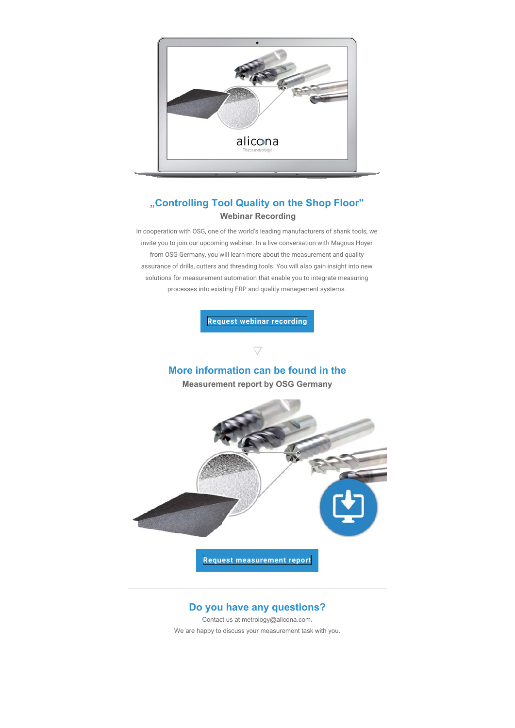

# **"Controlling Tool Quality on the Shop Floor" Webinar Recording**

In cooperation with OSG, one of the world's leading manufacturers of shank tools, we invite you to join our upcoming webinar. In a live conversation with Magnus Hoyer from OSG Germany, you will learn more about the measurement and quality assurance of drills, cutters and threading tools. You will also gain insight into new solutions for measurement automation that enable you to integrate measuring processes into existing ERP and quality management systems.

**[Request webinar recording](http://www.alicona.com/downloads/webinars/controlling-tool-quality-on-the-shop-floor/)**

# **More information can be found in the**

 $\bigtriangledown$ 

**Measurement report by OSG Germany** 



# **Do you have any questions?**

Contact us at metrology@alicona.com.

We are happy to discuss your measurement task with you.